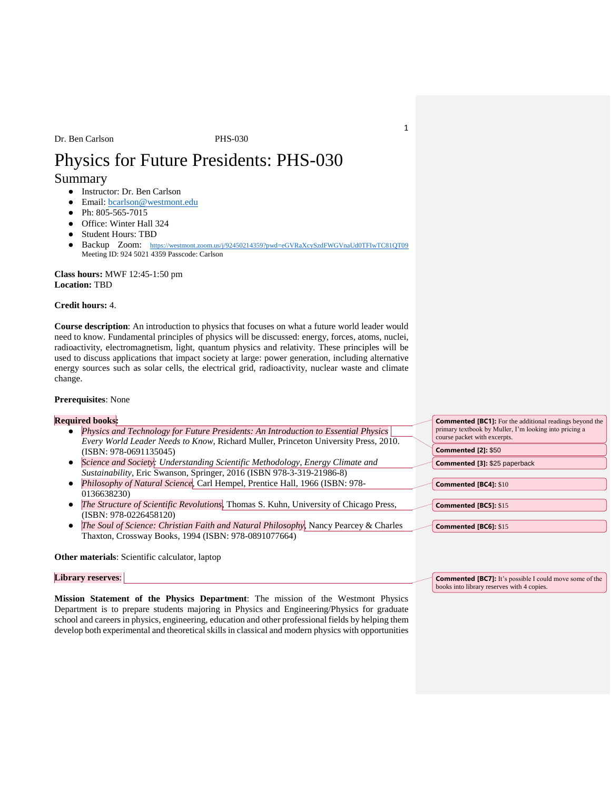# Physics for Future Presidents: PHS-030

# Summary

- Instructor: Dr. Ben Carlson
- Email: **bcarlson@westmont.edu**
- Ph: 805-565-7015
- Office: Winter Hall 324
- Student Hours: TBD
- Backup Zoom: <https://westmont.zoom.us/j/92450214359?pwd=eGVRaXcySzdFWGVnaUd0TFIwTC81QT09> Meeting ID: 924 5021 4359 Passcode: Carlson

**Class hours:** MWF 12:45-1:50 pm **Location:** TBD

# **Credit hours:** 4.

**Course description**: An introduction to physics that focuses on what a future world leader would need to know. Fundamental principles of physics will be discussed: energy, forces, atoms, nuclei, radioactivity, electromagnetism, light, quantum physics and relativity. These principles will be used to discuss applications that impact society at large: power generation, including alternative energy sources such as solar cells, the electrical grid, radioactivity, nuclear waste and climate change.

# **Prerequisites**: None

# **Required books:**

- *Physics and Technology for Future Presidents: An Introduction to Essential Physics Every World Leader Needs to Know*, Richard Muller, Princeton University Press, 2010. (ISBN: 978-0691135045)
- *Science and Society: Understanding Scientific Methodology, Energy Climate and Sustainability*, Eric Swanson, Springer, 2016 (ISBN 978-3-319-21986-8)
- *Philosophy of Natural Science*, Carl Hempel, Prentice Hall, 1966 (ISBN: 978- 0136638230)
- *The Structure of Scientific Revolutions*, Thomas S. Kuhn, University of Chicago Press, (ISBN: 978-0226458120)
- *The Soul of Science: Christian Faith and Natural Philosophy*, Nancy Pearcey & Charles Thaxton, Crossway Books, 1994 (ISBN: 978-0891077664)

## **Other materials**: Scientific calculator, laptop

# **Library reserves**:

**Mission Statement of the Physics Department**: The mission of the Westmont Physics Department is to prepare students majoring in Physics and Engineering/Physics for graduate school and careers in physics, engineering, education and other professional fields by helping them develop both experimental and theoretical skills in classical and modern physics with opportunities

| <b>Commented [BC1]:</b> For the additional readings beyond the<br>primary textbook by Muller, I'm looking into pricing a<br>course packet with excerpts. |                               |  |  |  |
|----------------------------------------------------------------------------------------------------------------------------------------------------------|-------------------------------|--|--|--|
|                                                                                                                                                          | <b>Commented [2]: \$50</b>    |  |  |  |
|                                                                                                                                                          | Commented [3]: \$25 paperback |  |  |  |
|                                                                                                                                                          |                               |  |  |  |
|                                                                                                                                                          | <b>Commented [BC4]: \$10</b>  |  |  |  |
|                                                                                                                                                          | <b>Commented [BC5]: \$15</b>  |  |  |  |
|                                                                                                                                                          |                               |  |  |  |
|                                                                                                                                                          | <b>Commented [BC6]: \$15</b>  |  |  |  |

**Commented [BC7]:** It's possible I could move some of the

books into library reserves with 4 copies.

1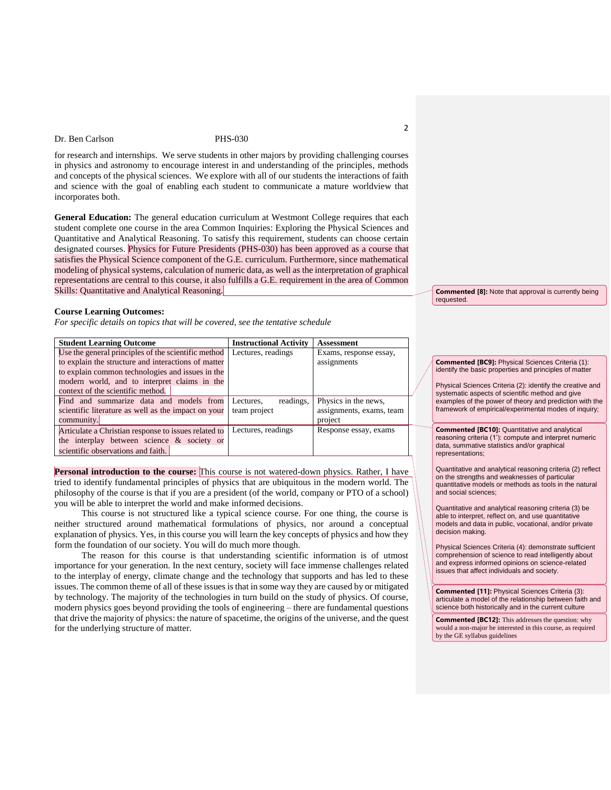for research and internships. We serve students in other majors by providing challenging courses in physics and astronomy to encourage interest in and understanding of the principles, methods and concepts of the physical sciences. We explore with all of our students the interactions of faith and science with the goal of enabling each student to communicate a mature worldview that incorporates both.

**General Education:** The general education curriculum at Westmont College requires that each student complete one course in the area Common Inquiries: Exploring the Physical Sciences and Quantitative and Analytical Reasoning. To satisfy this requirement, students can choose certain designated courses. Physics for Future Presidents (PHS-030) has been approved as a course that satisfies the Physical Science component of the G.E. curriculum. Furthermore, since mathematical modeling of physical systems, calculation of numeric data, as well as the interpretation of graphical representations are central to this course, it also fulfills a G.E. requirement in the area of Common Skills: Quantitative and Analytical Reasoning.

### **Course Learning Outcomes:**

*For specific details on topics that will be covered, see the tentative schedule* 

| <b>Student Learning Outcome</b>                      | <b>Instructional Activity</b> | Assessment               |
|------------------------------------------------------|-------------------------------|--------------------------|
| Use the general principles of the scientific method  | Lectures, readings            | Exams, response essay,   |
| to explain the structure and interactions of matter  |                               | assignments              |
| to explain common technologies and issues in the     |                               |                          |
| modern world, and to interpret claims in the         |                               |                          |
| context of the scientific method.                    |                               |                          |
| Find and summarize data and models from              | readings,<br>Lectures.        | Physics in the news,     |
| scientific literature as well as the impact on your  | team project                  | assignments, exams, team |
| community.                                           |                               | project                  |
| Articulate a Christian response to issues related to | Lectures, readings            | Response essay, exams    |
| the interplay between science & society or           |                               |                          |
| scientific observations and faith.                   |                               |                          |

Personal introduction to the course: This course is not watered-down physics. Rather, I have tried to identify fundamental principles of physics that are ubiquitous in the modern world. The philosophy of the course is that if you are a president (of the world, company or PTO of a school) you will be able to interpret the world and make informed decisions.

This course is not structured like a typical science course. For one thing, the course is neither structured around mathematical formulations of physics, nor around a conceptual explanation of physics. Yes, in this course you will learn the key concepts of physics and how they form the foundation of our society. You will do much more though.

The reason for this course is that understanding scientific information is of utmost importance for your generation. In the next century, society will face immense challenges related to the interplay of energy, climate change and the technology that supports and has led to these issues. The common theme of all of these issues is that in some way they are caused by or mitigated by technology. The majority of the technologies in turn build on the study of physics. Of course, modern physics goes beyond providing the tools of engineering – there are fundamental questions that drive the majority of physics: the nature of spacetime, the origins of the universe, and the quest for the underlying structure of matter.

**Commented [8]:** Note that approval is currently being requested.

### **Commented [BC9]:** Physical Sciences Criteria (1): identify the basic properties and principles of matter

Physical Sciences Criteria (2): identify the creative and systematic aspects of scientific method and give examples of the power of theory and prediction with the framework of empirical/experimental modes of inquiry;

**Commented [BC10]:** Quantitative and analytical reasoning criteria (1'): compute and interpret numeric data, summative statistics and/or graphical representations;

Quantitative and analytical reasoning criteria (2) reflect on the strengths and weaknesses of particular quantitative models or methods as tools in the natural and social sciences;

Quantitative and analytical reasoning criteria (3) be able to interpret, reflect on, and use quantitative models and data in public, vocational, and/or private decision making.

Physical Sciences Criteria (4): demonstrate sufficient comprehension of science to read intelligently about and express informed opinions on science-related issues that affect individuals and society.

**Commented [11]:** Physical Sciences Criteria (3): articulate a model of the relationship between faith and science both historically and in the current culture

**Commented [BC12]:** This addresses the question: why would a non-major be interested in this course, as required by the GE syllabus guidelines

2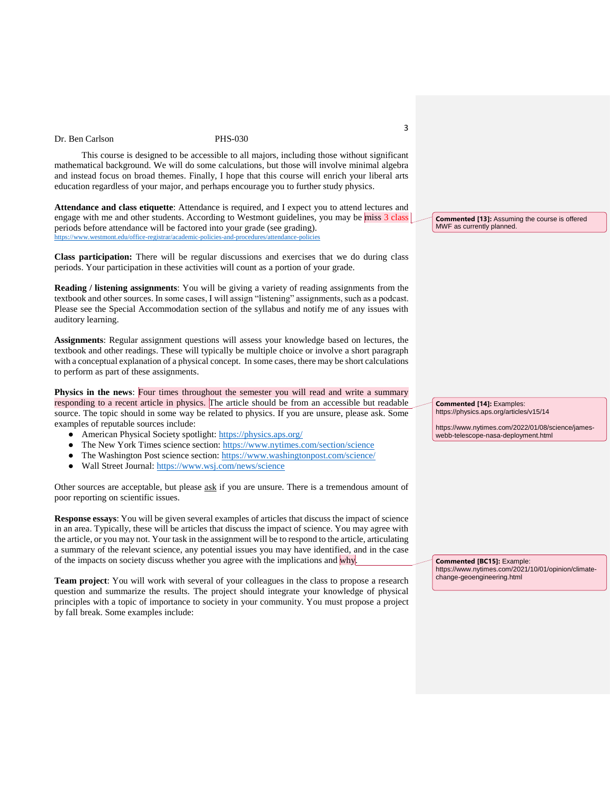This course is designed to be accessible to all majors, including those without significant mathematical background. We will do some calculations, but those will involve minimal algebra and instead focus on broad themes. Finally, I hope that this course will enrich your liberal arts education regardless of your major, and perhaps encourage you to further study physics.

**Attendance and class etiquette**: Attendance is required, and I expect you to attend lectures and engage with me and other students. According to Westmont guidelines, you may be miss 3 class periods before attendance will be factored into your grade (see grading). https://www.westmont.edu/office-registrar/academic-policies-and-procedures/attend

**Class participation:** There will be regular discussions and exercises that we do during class periods. Your participation in these activities will count as a portion of your grade.

**Reading / listening assignments**: You will be giving a variety of reading assignments from the textbook and other sources. In some cases, I will assign "listening" assignments, such as a podcast. Please see the Special Accommodation section of the syllabus and notify me of any issues with auditory learning.

**Assignments**: Regular assignment questions will assess your knowledge based on lectures, the textbook and other readings. These will typically be multiple choice or involve a short paragraph with a conceptual explanation of a physical concept. In some cases, there may be short calculations to perform as part of these assignments.

**Physics in the news**: Four times throughout the semester you will read and write a summary responding to a recent article in physics. The article should be from an accessible but readable source. The topic should in some way be related to physics. If you are unsure, please ask. Some examples of reputable sources include:

- American Physical Society spotlight:<https://physics.aps.org/>
- The New York Times science section:<https://www.nytimes.com/section/science>
- The Washington Post science section:<https://www.washingtonpost.com/science/>
- Wall Street Journal:<https://www.wsj.com/news/science>

Other sources are acceptable, but please ask if you are unsure. There is a tremendous amount of poor reporting on scientific issues.

**Response essays**: You will be given several examples of articles that discuss the impact of science in an area. Typically, these will be articles that discuss the impact of science. You may agree with the article, or you may not. Your task in the assignment will be to respond to the article, articulating a summary of the relevant science, any potential issues you may have identified, and in the case of the impacts on society discuss whether you agree with the implications and why.

**Team project**: You will work with several of your colleagues in the class to propose a research question and summarize the results. The project should integrate your knowledge of physical principles with a topic of importance to society in your community. You must propose a project by fall break. Some examples include:

**Commented [13]:** Assuming the course is offered MWF as currently planned.

**Commented [14]:** Examples: https://physics.aps.org/articles/v15/14

https://www.nytimes.com/2022/01/08/science/jameswebb-telescope-nasa-deployment.html

**Commented [BC15]:** Example: https://www.nytimes.com/2021/10/01/opinion/climatechange-geoengineering.html

3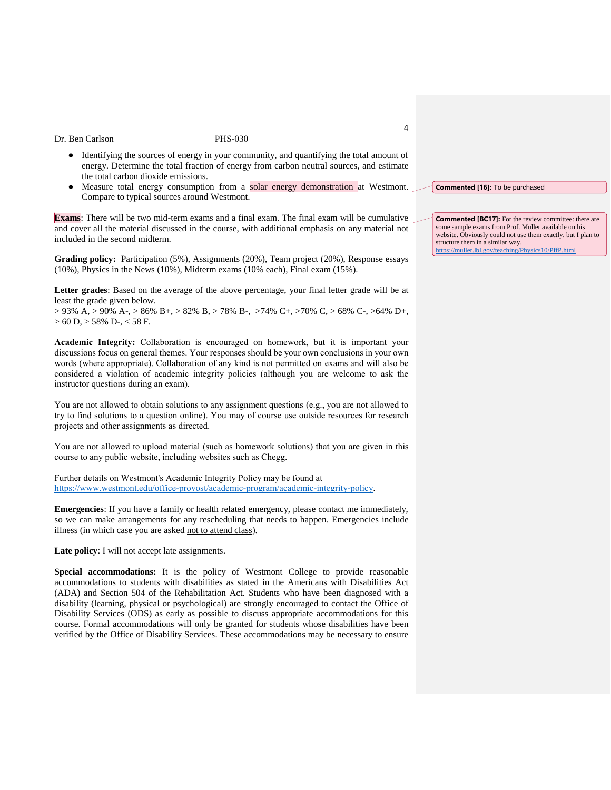- Identifying the sources of energy in your community, and quantifying the total amount of energy. Determine the total fraction of energy from carbon neutral sources, and estimate the total carbon dioxide emissions.
- Measure total energy consumption from a solar energy demonstration at Westmont. Compare to typical sources around Westmont.

**Exams**: There will be two mid-term exams and a final exam. The final exam will be cumulative and cover all the material discussed in the course, with additional emphasis on any material not included in the second midterm.

**Grading policy:** Participation (5%), Assignments (20%), Team project (20%), Response essays (10%), Physics in the News (10%), Midterm exams (10% each), Final exam (15%).

**Letter grades**: Based on the average of the above percentage, your final letter grade will be at least the grade given below.

 $> 93\% A$ ,  $> 90\% A$ ,  $> 86\% B$ +,  $> 82\% B$ ,  $> 78\% B$ -,  $> 74\% C$ +,  $> 70\% C$ ,  $> 68\% C$ -,  $> 64\% D$ +,  $> 60$  D,  $> 58\%$  D-,  $< 58$  F.

**Academic Integrity:** Collaboration is encouraged on homework, but it is important your discussions focus on general themes. Your responses should be your own conclusions in your own words (where appropriate). Collaboration of any kind is not permitted on exams and will also be considered a violation of academic integrity policies (although you are welcome to ask the instructor questions during an exam).

You are not allowed to obtain solutions to any assignment questions (e.g., you are not allowed to try to find solutions to a question online). You may of course use outside resources for research projects and other assignments as directed.

You are not allowed to upload material (such as homework solutions) that you are given in this course to any public website, including websites such as Chegg.

Further details on Westmont's Academic Integrity Policy may be found at [https://www.westmont.edu/office-provost/academic-program/academic-integrity-policy.](https://www.westmont.edu/office-provost/academic-program/academic-integrity-policy)

**Emergencies**: If you have a family or health related emergency, please contact me immediately, so we can make arrangements for any rescheduling that needs to happen. Emergencies include illness (in which case you are asked not to attend class).

**Late policy**: I will not accept late assignments.

**Special accommodations:** It is the policy of Westmont College to provide reasonable accommodations to students with disabilities as stated in the Americans with Disabilities Act (ADA) and Section 504 of the Rehabilitation Act. Students who have been diagnosed with a disability (learning, physical or psychological) are strongly encouraged to contact the Office of Disability Services (ODS) as early as possible to discuss appropriate accommodations for this course. Formal accommodations will only be granted for students whose disabilities have been verified by the Office of Disability Services. These accommodations may be necessary to ensure

 $\Lambda$ 

**Commented [16]:** To be purchased

**Commented [BC17]:** For the review committee: there are some sample exams from Prof. Muller available on his website. Obviously could not use them exactly, but I plan to structure them in a similar way. <https://muller.lbl.gov/teaching/Physics10/PffP.html>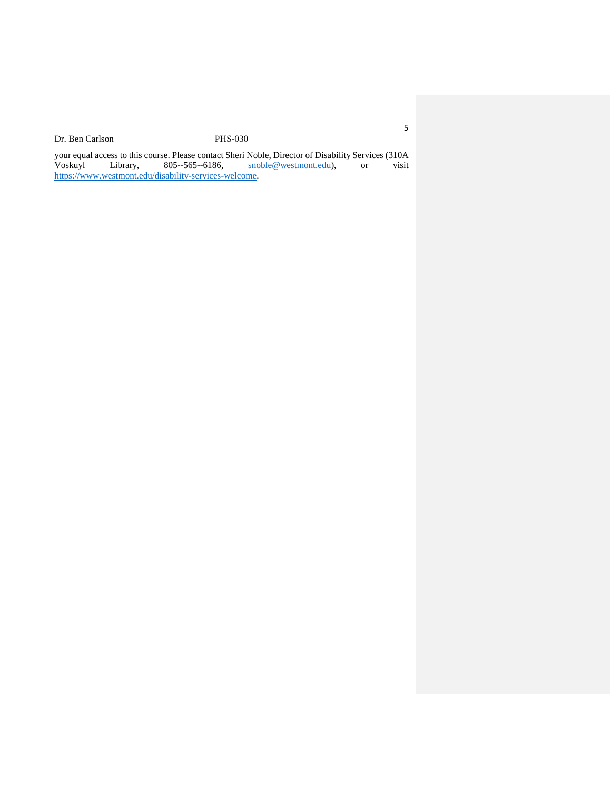your equal access to this course. Please contact Sheri Noble, Director of Disability Services (310A<br>Voskuyl Library, 805--565--6186, snoble@westmont.edu), or visit Voskuyl Library, 805--565--6186, [snoble@westmont.edu\)](mailto:snoble@westmont.edu), or visit [https://www.westmont.edu/disability-services-welcome.](https://www.westmont.edu/disability-services-welcome)